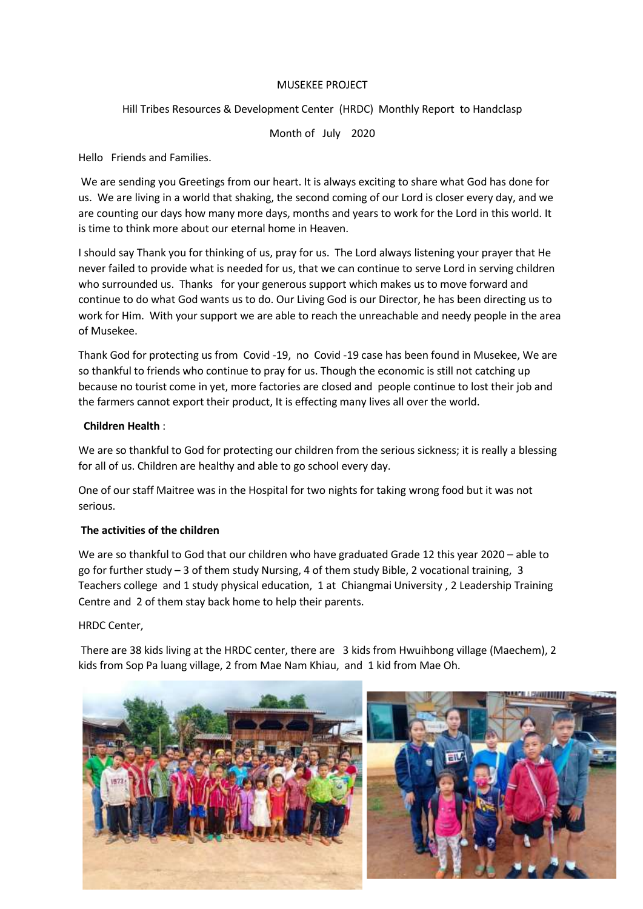## MUSEKEE PROJECT

# Hill Tribes Resources & Development Center (HRDC) Monthly Report to Handclasp

Month of July 2020

Hello Friends and Families.

We are sending you Greetings from our heart. It is always exciting to share what God has done for us. We are living in a world that shaking, the second coming of our Lord is closer every day, and we are counting our days how many more days, months and years to work for the Lord in this world. It is time to think more about our eternal home in Heaven.

I should say Thank you for thinking of us, pray for us. The Lord always listening your prayer that He never failed to provide what is needed for us, that we can continue to serve Lord in serving children who surrounded us. Thanks for your generous support which makes us to move forward and continue to do what God wants us to do. Our Living God is our Director, he has been directing us to work for Him. With your support we are able to reach the unreachable and needy people in the area of Musekee.

Thank God for protecting us from Covid -19, no Covid -19 case has been found in Musekee, We are so thankful to friends who continue to pray for us. Though the economic is still not catching up because no tourist come in yet, more factories are closed and people continue to lost their job and the farmers cannot export their product, It is effecting many lives all over the world.

## **Children Health** :

We are so thankful to God for protecting our children from the serious sickness; it is really a blessing for all of us. Children are healthy and able to go school every day.

One of our staff Maitree was in the Hospital for two nights for taking wrong food but it was not serious.

## **The activities of the children**

We are so thankful to God that our children who have graduated Grade 12 this year 2020 – able to go for further study – 3 of them study Nursing, 4 of them study Bible, 2 vocational training, 3 Teachers college and 1 study physical education, 1 at Chiangmai University , 2 Leadership Training Centre and 2 of them stay back home to help their parents.

HRDC Center,

There are 38 kids living at the HRDC center, there are 3 kids from Hwuihbong village (Maechem), 2 kids from Sop Pa luang village, 2 from Mae Nam Khiau, and 1 kid from Mae Oh.

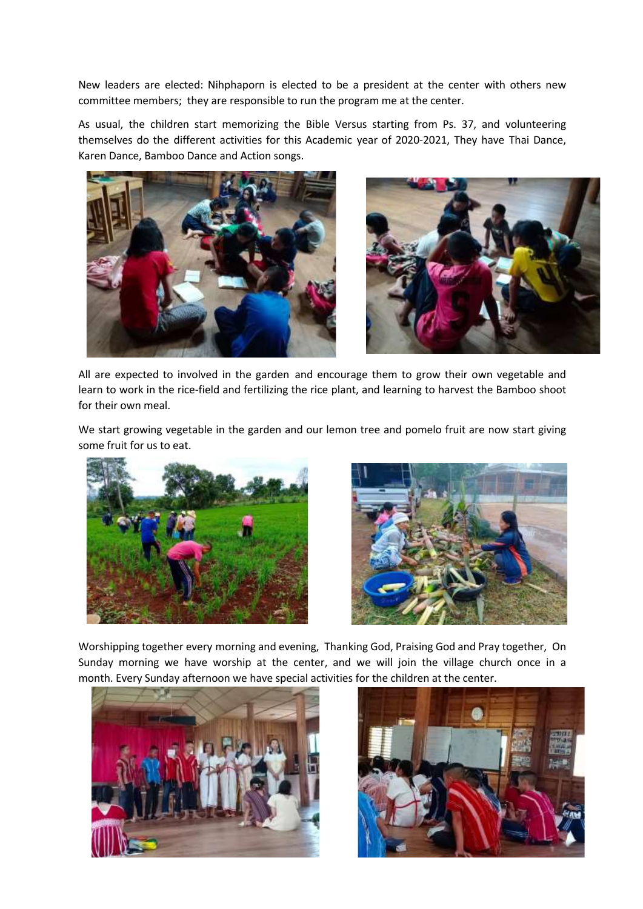New leaders are elected: Nihphaporn is elected to be a president at the center with others new committee members; they are responsible to run the program me at the center.

As usual, the children start memorizing the Bible Versus starting from Ps. 37, and volunteering themselves do the different activities for this Academic year of 2020-2021, They have Thai Dance, Karen Dance, Bamboo Dance and Action songs.





All are expected to involved in the garden and encourage them to grow their own vegetable and learn to work in the rice-field and fertilizing the rice plant, and learning to harvest the Bamboo shoot for their own meal.

We start growing vegetable in the garden and our lemon tree and pomelo fruit are now start giving some fruit for us to eat.





Worshipping together every morning and evening, Thanking God, Praising God and Pray together, On Sunday morning we have worship at the center, and we will join the village church once in a month. Every Sunday afternoon we have special activities for the children at the center.



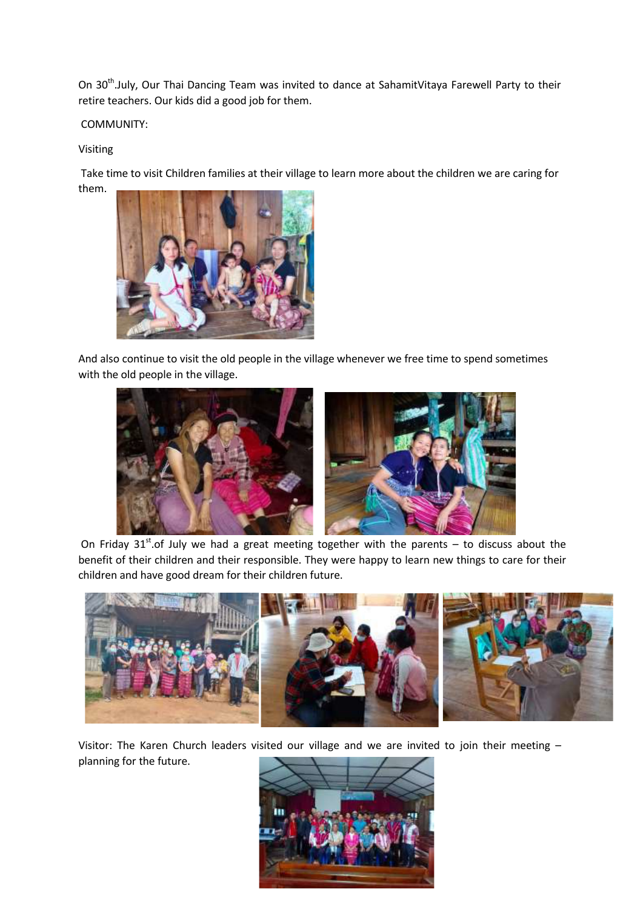On 30<sup>th</sup>.July, Our Thai Dancing Team was invited to dance at SahamitVitaya Farewell Party to their retire teachers. Our kids did a good job for them.

COMMUNITY:

## Visiting

Take time to visit Children families at their village to learn more about the children we are caring for them.



And also continue to visit the old people in the village whenever we free time to spend sometimes with the old people in the village.



On Friday  $31^{st}$  of July we had a great meeting together with the parents – to discuss about the benefit of their children and their responsible. They were happy to learn new things to care for their children and have good dream for their children future.



Visitor: The Karen Church leaders visited our village and we are invited to join their meeting – planning for the future.